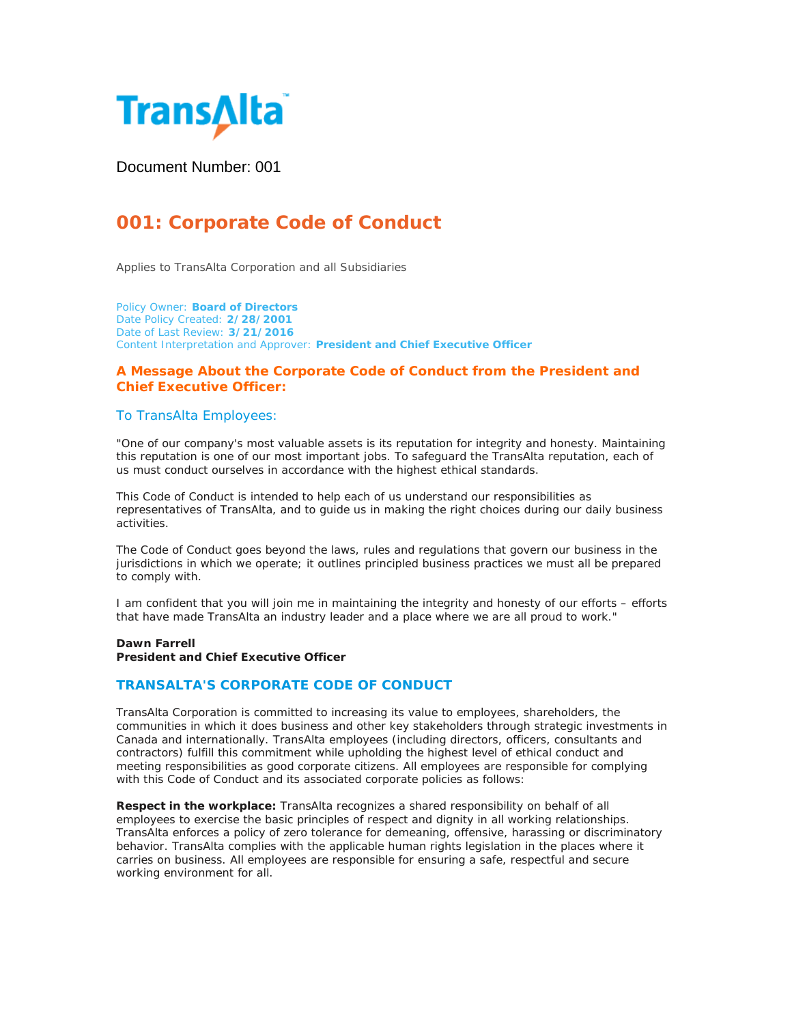

Document Number: 001

# **001: Corporate Code of Conduct**

Applies to TransAlta Corporation and all Subsidiaries

Policy Owner: **Board of Directors** Date Policy Created: **2/28/2001** Date of Last Review: **3/21/2016** Content Interpretation and Approver: **President and Chief Executive Officer**

# **A Message About the Corporate Code of Conduct from the President and Chief Executive Officer:**

## To TransAlta Employees:

"One of our company's most valuable assets is its reputation for integrity and honesty. Maintaining this reputation is one of our most important jobs. To safeguard the TransAlta reputation, each of us must conduct ourselves in accordance with the highest ethical standards.

This Code of Conduct is intended to help each of us understand our responsibilities as representatives of TransAlta, and to guide us in making the right choices during our daily business activities.

The Code of Conduct goes beyond the laws, rules and regulations that govern our business in the jurisdictions in which we operate; it outlines principled business practices we must all be prepared to comply with.

I am confident that you will join me in maintaining the integrity and honesty of our efforts – efforts that have made TransAlta an industry leader and a place where we are all proud to work."

#### **Dawn Farrell President and Chief Executive Officer**

# **TRANSALTA'S CORPORATE CODE OF CONDUCT**

TransAlta Corporation is committed to increasing its value to employees, shareholders, the communities in which it does business and other key stakeholders through strategic investments in Canada and internationally. TransAlta employees (including directors, officers, consultants and contractors) fulfill this commitment while upholding the highest level of ethical conduct and meeting responsibilities as good corporate citizens. All employees are responsible for complying with this Code of Conduct and its associated corporate policies as follows:

**Respect in the workplace:** TransAlta recognizes a shared responsibility on behalf of all employees to exercise the basic principles of respect and dignity in all working relationships. TransAlta enforces a policy of zero tolerance for demeaning, offensive, harassing or discriminatory behavior. TransAlta complies with the applicable human rights legislation in the places where it carries on business. All employees are responsible for ensuring a safe, respectful and secure working environment for all.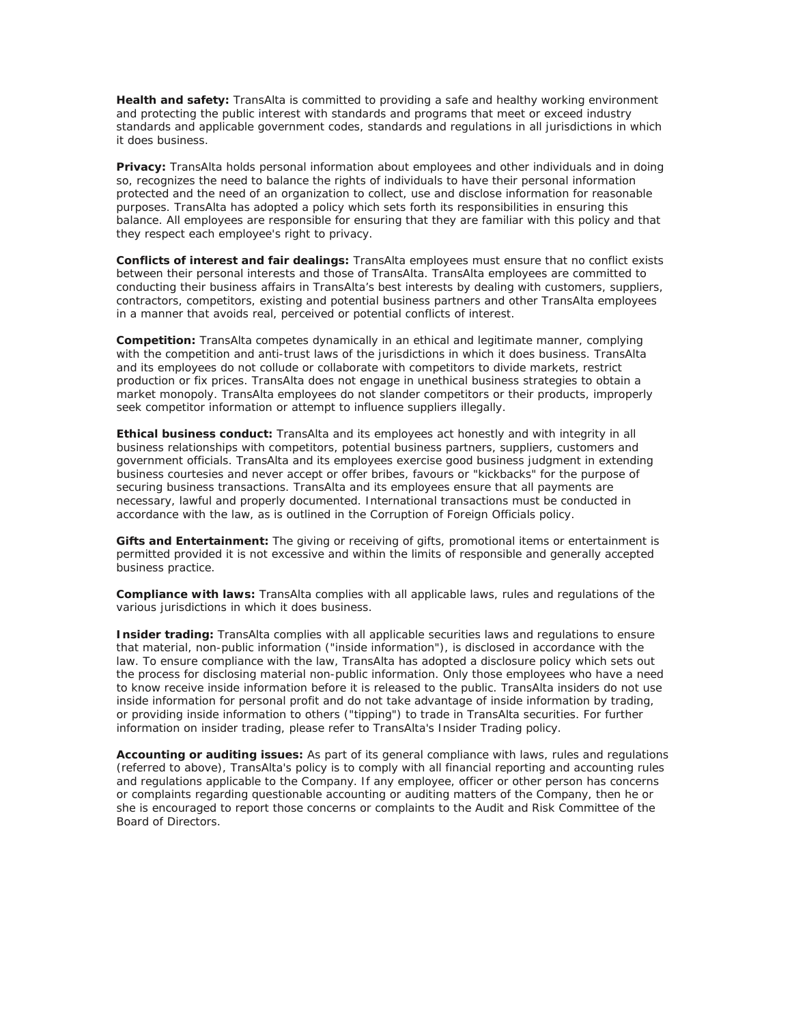**Health and safety:** TransAlta is committed to providing a safe and healthy working environment and protecting the public interest with standards and programs that meet or exceed industry standards and applicable government codes, standards and regulations in all jurisdictions in which it does business.

**Privacy:** TransAlta holds personal information about employees and other individuals and in doing so, recognizes the need to balance the rights of individuals to have their personal information protected and the need of an organization to collect, use and disclose information for reasonable purposes. TransAlta has adopted a policy which sets forth its responsibilities in ensuring this balance. All employees are responsible for ensuring that they are familiar with this policy and that they respect each employee's right to privacy.

**Conflicts of interest and fair dealings:** TransAlta employees must ensure that no conflict exists between their personal interests and those of TransAlta. TransAlta employees are committed to conducting their business affairs in TransAlta's best interests by dealing with customers, suppliers, contractors, competitors, existing and potential business partners and other TransAlta employees in a manner that avoids real, perceived or potential conflicts of interest.

**Competition:** TransAlta competes dynamically in an ethical and legitimate manner, complying with the competition and anti-trust laws of the jurisdictions in which it does business. TransAlta and its employees do not collude or collaborate with competitors to divide markets, restrict production or fix prices. TransAlta does not engage in unethical business strategies to obtain a market monopoly. TransAlta employees do not slander competitors or their products, improperly seek competitor information or attempt to influence suppliers illegally.

**Ethical business conduct:** TransAlta and its employees act honestly and with integrity in all business relationships with competitors, potential business partners, suppliers, customers and government officials. TransAlta and its employees exercise good business judgment in extending business courtesies and never accept or offer bribes, favours or "kickbacks" for the purpose of securing business transactions. TransAlta and its employees ensure that all payments are necessary, lawful and properly documented. International transactions must be conducted in accordance with the law, as is outlined in the Corruption of Foreign Officials policy.

**Gifts and Entertainment:** The giving or receiving of gifts, promotional items or entertainment is permitted provided it is not excessive and within the limits of responsible and generally accepted business practice.

**Compliance with laws:** TransAlta complies with all applicable laws, rules and regulations of the various jurisdictions in which it does business.

**Insider trading:** TransAlta complies with all applicable securities laws and regulations to ensure that material, non-public information ("inside information"), is disclosed in accordance with the law. To ensure compliance with the law, TransAlta has adopted a disclosure policy which sets out the process for disclosing material non-public information. Only those employees who have a need to know receive inside information before it is released to the public. TransAlta insiders do not use inside information for personal profit and do not take advantage of inside information by trading, or providing inside information to others ("tipping") to trade in TransAlta securities. For further information on insider trading, please refer to TransAlta's Insider Trading policy.

**Accounting or auditing issues:** As part of its general compliance with laws, rules and regulations (referred to above), TransAlta's policy is to comply with all financial reporting and accounting rules and regulations applicable to the Company. If any employee, officer or other person has concerns or complaints regarding questionable accounting or auditing matters of the Company, then he or she is encouraged to report those concerns or complaints to the Audit and Risk Committee of the Board of Directors.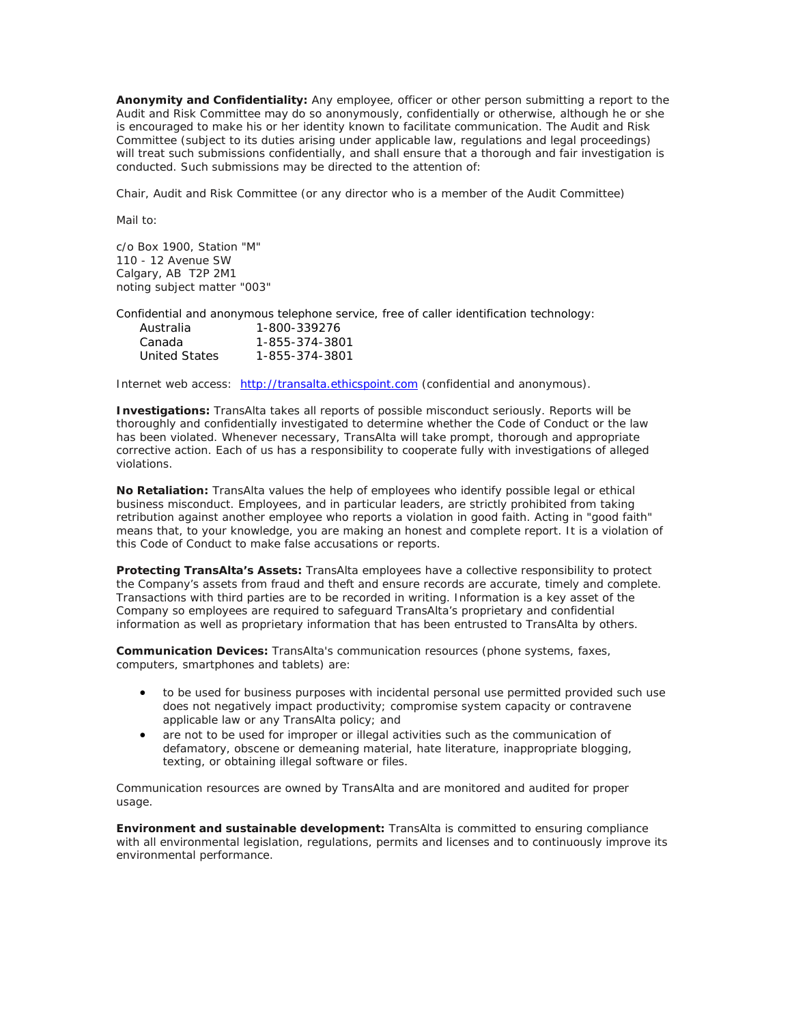**Anonymity and Confidentiality:** Any employee, officer or other person submitting a report to the Audit and Risk Committee may do so anonymously, confidentially or otherwise, although he or she is encouraged to make his or her identity known to facilitate communication. The Audit and Risk Committee (subject to its duties arising under applicable law, regulations and legal proceedings) will treat such submissions confidentially, and shall ensure that a thorough and fair investigation is conducted. Such submissions may be directed to the attention of:

Chair, Audit and Risk Committee (or any director who is a member of the Audit Committee)

Mail to:

c/o Box 1900, Station "M" 110 - 12 Avenue SW Calgary, AB T2P 2M1 noting subject matter "003"

Confidential and anonymous telephone service, free of caller identification technology:

| Australia     | 1-800-339276   |
|---------------|----------------|
| Canada        | 1-855-374-3801 |
| United States | 1-855-374-3801 |

Internet web access: [http://transalta.ethicspoint.com](http://transalta.ethicspoint.com/) (confidential and anonymous).

**Investigations:** TransAlta takes all reports of possible misconduct seriously. Reports will be thoroughly and confidentially investigated to determine whether the Code of Conduct or the law has been violated. Whenever necessary, TransAlta will take prompt, thorough and appropriate corrective action. Each of us has a responsibility to cooperate fully with investigations of alleged violations.

**No Retaliation:** TransAlta values the help of employees who identify possible legal or ethical business misconduct. Employees, and in particular leaders, are strictly prohibited from taking retribution against another employee who reports a violation in good faith. Acting in "good faith" means that, to your knowledge, you are making an honest and complete report. It is a violation of this Code of Conduct to make false accusations or reports.

**Protecting TransAlta's Assets:** TransAlta employees have a collective responsibility to protect the Company's assets from fraud and theft and ensure records are accurate, timely and complete. Transactions with third parties are to be recorded in writing. Information is a key asset of the Company so employees are required to safeguard TransAlta's proprietary and confidential information as well as proprietary information that has been entrusted to TransAlta by others.

**Communication Devices:** TransAlta's communication resources (phone systems, faxes, computers, smartphones and tablets) are:

- to be used for business purposes with incidental personal use permitted provided such use does not negatively impact productivity; compromise system capacity or contravene applicable law or any TransAlta policy; and
- are not to be used for improper or illegal activities such as the communication of defamatory, obscene or demeaning material, hate literature, inappropriate blogging, texting, or obtaining illegal software or files.

Communication resources are owned by TransAlta and are monitored and audited for proper usage.

**Environment and sustainable development:** TransAlta is committed to ensuring compliance with all environmental legislation, regulations, permits and licenses and to continuously improve its environmental performance.